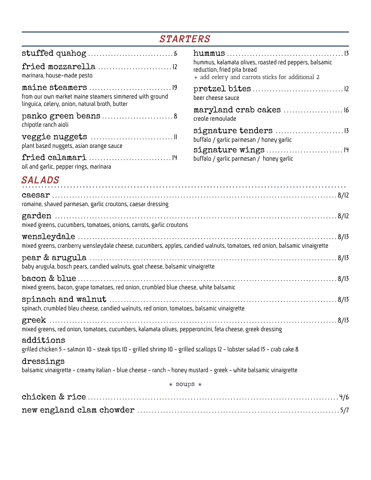# *STARTERS*

| marinara, house-made pesto                                                                                                            | hummus, kalamata olives, roasted red peppers, balsamic<br>reduction, fried pita bread<br>+ add celery and carrots sticks for additional 2 |  |
|---------------------------------------------------------------------------------------------------------------------------------------|-------------------------------------------------------------------------------------------------------------------------------------------|--|
| from our own market maine steamers simmered with ground<br>linguica, celery, onion, natural broth, butter                             | beer cheese sauce                                                                                                                         |  |
| panko green beans 8<br>chipotle ranch aioli                                                                                           | maryland crab cakes  16<br>creole remoulade                                                                                               |  |
| plant based nuggets, asian orange sauce                                                                                               | buffalo / garlic parmesan / honey garlic                                                                                                  |  |
| oil and garlic, pepper rings, marinara                                                                                                | buffalo / garlic parmesan / honey garlic                                                                                                  |  |
| <b>SALADS</b>                                                                                                                         |                                                                                                                                           |  |
| romaine, shaved parmesan, garlic croutons, caesar dressing                                                                            |                                                                                                                                           |  |
| mixed greens, cucumbers, tomatoes, onions, carrots, garlic croutons                                                                   |                                                                                                                                           |  |
| mixed greens, cranberry wensleydale cheese, cucumbers, apples, candied walnuts, tomatoes, red onion, balsamic vinaigrette             |                                                                                                                                           |  |
| baby arugula, bosch pears, candied walnuts, goat cheese, balsamic vinaigrette                                                         |                                                                                                                                           |  |
| mixed greens, bacon, grape tomatoes, red onion, crumbled blue cheese, white balsamic                                                  | .8/13                                                                                                                                     |  |
| spinach, crumbled bleu cheese, candied walnuts, red onion, tomatoes, balsamic vinaigrette                                             | .8/13                                                                                                                                     |  |
| mixed greens, red onion, tomatoes, cucumbers, kalamata olives, pepperoncini, feta cheese, greek dressing                              |                                                                                                                                           |  |
| additions<br>grilled chicken 5 - salmon IO - steak tips IO - grilled shrimp IO - grilled scallops I2 - lobster salad I5 - crab cake 8 |                                                                                                                                           |  |
| dressings<br>balsamic vinaigrette - creamy italian - blue cheese - ranch - honey mustard - greek - white balsamic vinaigrette         |                                                                                                                                           |  |
| $\star$ soups $\star$                                                                                                                 |                                                                                                                                           |  |
|                                                                                                                                       |                                                                                                                                           |  |
|                                                                                                                                       |                                                                                                                                           |  |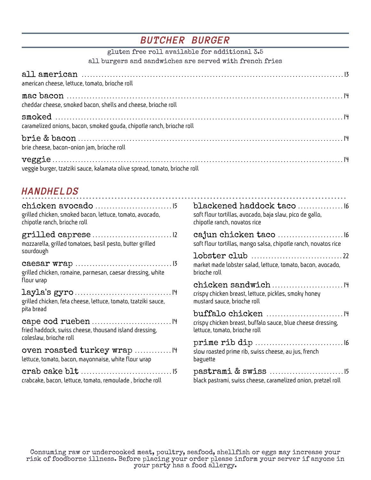# *BUTCHER BURGER*

| gluten free roll available for additional 3.5                                                                                                                                                                                                                                                       |                                                                                              |
|-----------------------------------------------------------------------------------------------------------------------------------------------------------------------------------------------------------------------------------------------------------------------------------------------------|----------------------------------------------------------------------------------------------|
| all burgers and sandwiches are served with french fries                                                                                                                                                                                                                                             |                                                                                              |
| american cheese, lettuce, tomato, brioche roll                                                                                                                                                                                                                                                      |                                                                                              |
| cheddar cheese, smoked bacon, shells and cheese, brioche roll                                                                                                                                                                                                                                       |                                                                                              |
| caramelized onions, bacon, smoked gouda, chipotle ranch, brioche roll                                                                                                                                                                                                                               |                                                                                              |
| brie cheese, bacon-onion jam, brioche roll                                                                                                                                                                                                                                                          |                                                                                              |
| veggie burger, tzatziki sauce, kalamata olive spread, tomato, brioche roll                                                                                                                                                                                                                          |                                                                                              |
| <b>HANDHELDS</b>                                                                                                                                                                                                                                                                                    |                                                                                              |
| grilled chicken, smoked bacon, lettuce, tomato, avocado,<br>chipotle ranch, brioche roll                                                                                                                                                                                                            | soft flour tortillas, avocado, baja slaw, pico de gallo,<br>chipotle ranch, novatos rice     |
| mozzarella, grilled tomatoes, basil pesto, butter grilled                                                                                                                                                                                                                                           | soft flour tortillas, mango salsa, chipotle ranch, novatos rice                              |
| sourdough                                                                                                                                                                                                                                                                                           |                                                                                              |
| $\textbf{caesar wrap}\dots\hspace{-.5cm}\dots\hspace{-.5cm}\dots\hspace{-.5cm}\dots\hspace{-.5cm}\dots\hspace{-.5cm}\dots\hspace{-.5cm}\dots\hspace{-.5cm}\dots\hspace{-.5cm}\dots\hspace{-.5cm}\dots\hspace{-.5cm}\text{\small{13}}$<br>grilled chicken, romaine, parmesan, caesar dressing, white | market made lobster salad, lettuce, tomato, bacon, avocado,<br>brioche roll                  |
| flour wrap<br>grilled chicken, feta cheese, lettuce, tomato, tzatziki sauce,                                                                                                                                                                                                                        | crispy chicken breast, lettuce, pickles, smoky honey<br>mustard sauce, brioche roll          |
| pita bread<br>fried haddock, swiss cheese, thousand island dressing,                                                                                                                                                                                                                                | crispy chicken breast, buffalo sauce, blue cheese dressing,<br>lettuce, tomato, brioche roll |

oven roasted turkey wrap ............... IH lettuce, tomato, bacon, mayonnaise, white flour wrap

coleslaw, brioche roll

crab cake blt . . . . . . . . . . . . . . . . . . . . . . . . . . . . . . . . 15 crabcake, bacon, lettuce, tomato, remoulade , brioche roll

pastrami & swiss . . . . . . . . . . . . . . . . . . . . . . . . . . 15 black pastrami, swiss cheese, caramelized onion, pretzel roll

prime rib dip . . . . . . . . . . . . . . . . . . . . . . . . . . . . . . . 16

slow roasted prime rib, swiss cheese, au jus, french

baguette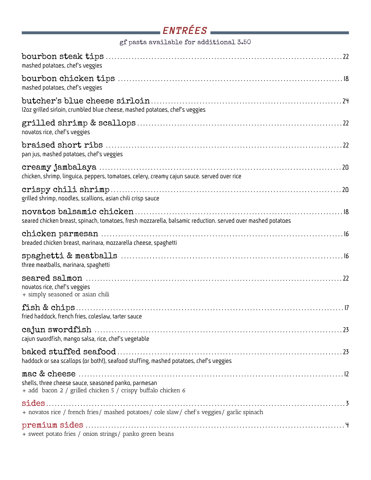| gf pasta available for additional 3.50                                                                               |  |  |
|----------------------------------------------------------------------------------------------------------------------|--|--|
| mashed potatoes, chef's veggies                                                                                      |  |  |
| mashed potatoes, chef's veggies                                                                                      |  |  |
| I2oz grilled sirloin, crumbled blue cheese, mashed potatoes, chef's veggies                                          |  |  |
| novatos rice, chef's veggies                                                                                         |  |  |
| pan jus, mashed potatoes, chef's veggies                                                                             |  |  |
| chicken, shrimp, linguica, peppers, tomatoes, celery, creamy cajun sauce. served over rice                           |  |  |
| grilled shrimp, noodles, scallions, asian chili crisp sauce                                                          |  |  |
| seared chicken breast, spinach, tomatoes, fresh mozzarella, balsamic reduction. served over mashed potatoes          |  |  |
| breaded chicken breast, marinara, mozzarella cheese, spaghetti                                                       |  |  |
| three meatballs, marinara, spaghetti                                                                                 |  |  |
| novatos rice, chef's veggies<br>+ simply seasoned or asian chili                                                     |  |  |
| fried haddock, french fries, coleslaw, tarter sauce                                                                  |  |  |
| cajun swordfish, mango salsa, rice, chef's vegetable                                                                 |  |  |
| haddock or sea scallops (or both!), seafood stuffing, mashed potatoes, chef's veggies                                |  |  |
| shells, three cheese sauce, seasoned panko, parmesan<br>+ add bacon 2 / grilled chicken 5 / crispy buffalo chicken 6 |  |  |
| + novatos rice / french fries/ mashed potatoes/ cole slaw/ chef's veggies/ garlic spinach                            |  |  |
| + sweet potato fries / onion strings/ panko green beans                                                              |  |  |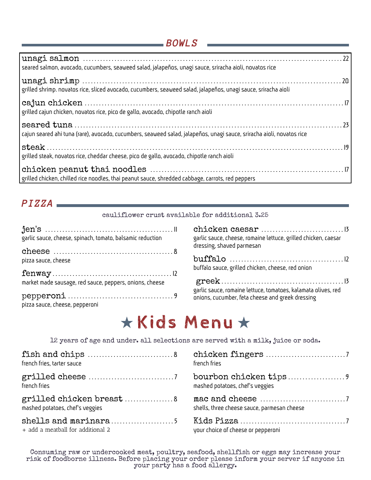# *BOWLS*

| seared salmon, avocado, cucumbers, seaweed salad, jalapeños, unagi sauce, sriracha aioli, novatos rice                |
|-----------------------------------------------------------------------------------------------------------------------|
| grilled shrimp. novatos rice, sliced avocado, cucumbers, seaweed salad, jalapeños, unagi sauce, sriracha aioli        |
| grilled cajun chicken, novatos rice, pico de gallo, avocado, chipotle ranch aioli                                     |
| cajun seared ahi tuna (rare), avocado, cucumbers, seaweed salad, jalapeños, unagi sauce, sriracha aioli, novatos rice |
| grilled steak, novatos rice, cheddar cheese, pico de gallo, avocado, chipotle ranch aioli                             |
| grilled chicken, chilled rice noodles, thai peanut sauce, shredded cabbage, carrots, red peppers                      |

# *PIZZA*

cauliflower crust available for additional 3.25

| garlic sauce, cheese, spinach, tomato, balsamic reduction | garlic sauce, cheese, romaine lettuce, grilled chicken, caesar<br>dressing, shaved parmesan |  |
|-----------------------------------------------------------|---------------------------------------------------------------------------------------------|--|
|                                                           |                                                                                             |  |
| pizza sauce, cheese                                       | buffalo sauce, grilled chicken, cheese, red onion                                           |  |
|                                                           |                                                                                             |  |
| market made sausage, red sauce, peppers, onions, cheese   | garlic sauce, romaine lettuce, tomatoes, kalamata olives, red                               |  |
| pizza sauce, cheese, pepperoni                            | onions, cucumber, feta cheese and greek dressing                                            |  |

| garlic sauce, cheese, romaine lettuce, grilled chicken, caesar<br>dressing, shaved parmesan                       |  |
|-------------------------------------------------------------------------------------------------------------------|--|
| buffalo sauce, grilled chicken, cheese, red onion                                                                 |  |
| garlic sauce, romaine lettuce, tomatoes, kalamata olives, red<br>onions, cucumber, feta cheese and greek dressing |  |

# Kids Menu

12 years of age and under. all selections are served with a milk, juice or soda.

| french fries, tarter sauce        | french fries                                              |
|-----------------------------------|-----------------------------------------------------------|
|                                   | bourbon chicken tips9                                     |
| french fries                      | mashed potatoes, chef's veggies                           |
| grilled chicken breast 8          | mac and cheese $\dots\dots\dots\dots\dots\dots\dots\dots$ |
| mashed potatoes, chef's veggies   | shells, three cheese sauce, parmesan cheese               |
| + add a meatball for additional 2 | your choice of cheese or pepperoni                        |

Consuming raw or undercooked meat, poultry, seafood, shellfish or eggs may increase your risk of foodborne illness. Before placing your order please inform your server if anyone in your party has a food allergy.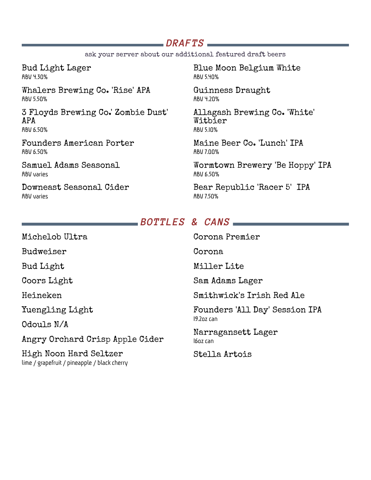# *DRAFTS*

ask your server about our additional featured draft beers

Bud Light Lager ABV 4.30%

Whalers Brewing Co. 'Rise' APA ABV 5.50%

3 Floyds Brewing Co.' Zombie Dust' APA ABV 6.50%

Founders American Porter ABV 6.50%

Samuel Adams Seasonal ABV varies

Downeast Seasonal Cider ABV varies

Blue Moon Belgium White ABV 5.40%

Guinness Draught ABV 4.20%

Allagash Brewing Co. 'White' Witbier ABV 5.10%

Maine Beer Co. 'Lunch' IPA ABV 7.00%

Wormtown Brewery 'Be Hoppy' IPA ABV 6.50%

Bear Republic 'Racer 5' IPA ABV 7.50%

### *BOTTLES & CANS*

| Michelob Ultra                                                         | Corona Premier                               |
|------------------------------------------------------------------------|----------------------------------------------|
| Budweiser                                                              | Corona                                       |
| Bud Light                                                              | Miller Lite                                  |
| Coors Light                                                            | Sam Adams Lager                              |
| Heineken                                                               | Smithwick's Irish Red Ale                    |
| Yuengling Light                                                        | Founders 'All Day' Session IPA<br>19.2oz can |
| Odouls N/A                                                             |                                              |
| Angry Orchard Crisp Apple Cider                                        | Narragansett Lager<br>lɓoz can               |
| High Noon Hard Seltzer<br>lime / grapefruit / pineapple / black cherry | Stella Artois                                |